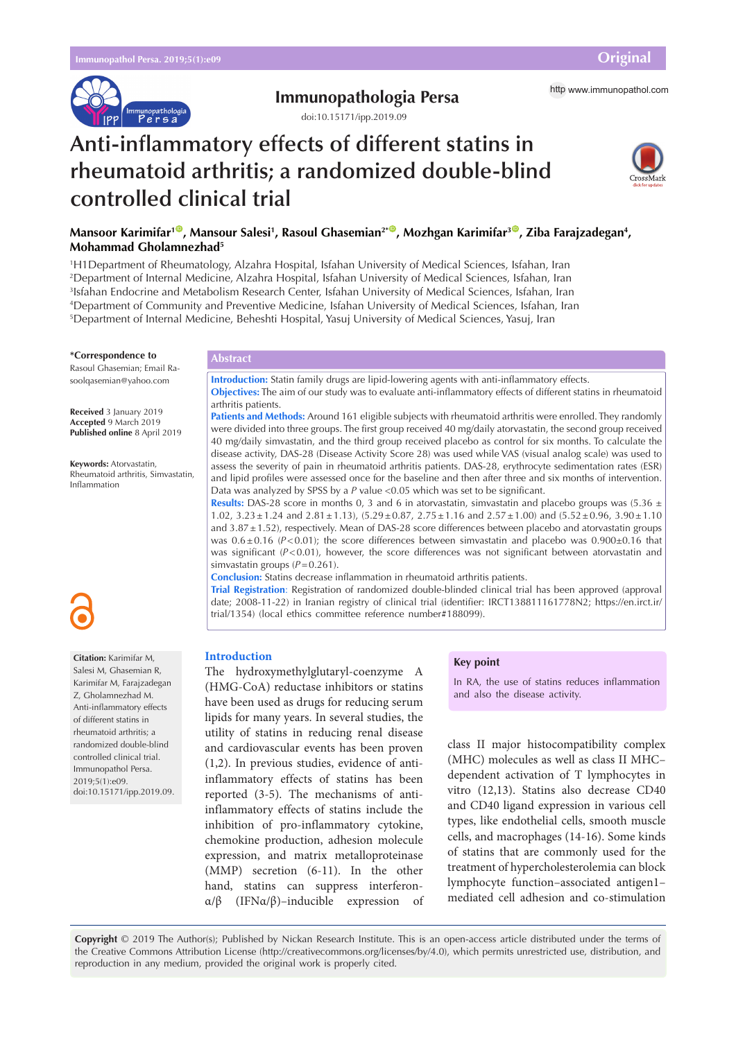

# **Immunopathologia Persa** http [www.immunopathol.com](http://www.immunopathol.com)

doi[:10.15171/ipp.2019.09](https://doi.org/10.15171/ipp.2019.09)

# **Anti-inflammatory effects of different statins in rheumatoid arthritis; a randomized double-blind controlled clinical trial**



# Mansoor Karimifar<sup>10</sup>, Mansour Salesi<sup>1</sup>, Rasoul Ghasemian<sup>2\*0</sup>, Mozhgan Karimifar<sup>30</sup>, Ziba Farajzadegan<sup>4</sup>, **Mohammad Gholamnezhad5**

 H1Department of Rheumatology, Alzahra Hospital, Isfahan University of Medical Sciences, Isfahan, Iran Department of Internal Medicine, Alzahra Hospital, Isfahan University of Medical Sciences, Isfahan, Iran Isfahan Endocrine and Metabolism Research Center, Isfahan University of Medical Sciences, Isfahan, Iran Department of Community and Preventive Medicine, Isfahan University of Medical Sciences, Isfahan, Iran Department of Internal Medicine, Beheshti Hospital, Yasuj University of Medical Sciences, Yasuj, Iran

#### **\*Correspondence to**

Rasoul Ghasemian; Email Rasoolqasemian@yahoo.com

**Received** 3 January 2019 **Accepted** 9 March 2019 **Published online** 8 April 2019

**Keywords:** Atorvastatin, Rheumatoid arthritis, Simvastatin, Inflammation

**Citation:** Karimifar M, Salesi M, Ghasemian R, Karimifar M, Farajzadegan Z, Gholamnezhad M. Anti-inflammatory effects of different statins in rheumatoid arthritis; a randomized double-blind controlled clinical trial. Immunopathol Persa.  $2019.5(1)$ :en9.

doi:10.15171/ipp.2019.09.

# **Abstract**

**Introduction:** Statin family drugs are lipid-lowering agents with anti-inflammatory effects. **Objectives:** The aim of our study was to evaluate anti-inflammatory effects of different statins in rheumatoid arthritis patients.

**Patients and Methods:** Around 161 eligible subjects with rheumatoid arthritis were enrolled. They randomly were divided into three groups. The first group received 40 mg/daily atorvastatin, the second group received 40 mg/daily simvastatin, and the third group received placebo as control for six months. To calculate the disease activity, DAS-28 (Disease Activity Score 28) was used while VAS (visual analog scale) was used to assess the severity of pain in rheumatoid arthritis patients. DAS-28, erythrocyte sedimentation rates (ESR) and lipid profiles were assessed once for the baseline and then after three and six months of intervention. Data was analyzed by SPSS by a *P* value <0.05 which was set to be significant.

**Results:** DAS-28 score in months 0, 3 and 6 in atorvastatin, simvastatin and placebo groups was (5.36  $\pm$ 1.02,  $3.23 \pm 1.24$  and  $2.81 \pm 1.13$ ),  $(5.29 \pm 0.87, 2.75 \pm 1.16)$  and  $(2.57 \pm 1.00)$  and  $(5.52 \pm 0.96, 3.90 \pm 1.10)$ and 3.87 ± 1.52), respectively. Mean of DAS-28 score differences between placebo and atorvastatin groups was  $0.6 \pm 0.16$  ( $P < 0.01$ ); the score differences between simvastatin and placebo was  $0.900\pm0.16$  that was significant (*P*<0.01), however, the score differences was not significant between atorvastatin and simvastatin groups ( $P=0.261$ ).

**Conclusion:** Statins decrease inflammation in rheumatoid arthritis patients.

**Trial Registration**: Registration of randomized double-blinded clinical trial has been approved (approval date; 2008-11-22) in Iranian registry of clinical trial (identifier: IRCT138811161778N2; https://en.irct.ir/ trial/1354) (local ethics committee reference number#188099).

# **Introduction**

The hydroxymethylglutaryl-coenzyme A (HMG-CoA) reductase inhibitors or statins have been used as drugs for reducing serum lipids for many years. In several studies, the utility of statins in reducing renal disease and cardiovascular events has been proven (1,2). In previous studies, evidence of antiinflammatory effects of statins has been reported (3-5). The mechanisms of antiinflammatory effects of statins include the inhibition of pro-inflammatory cytokine, chemokine production, adhesion molecule expression, and matrix metalloproteinase (MMP) secretion (6-11). In the other hand, statins can suppress interferonα/β (IFNα/β)–inducible expression of

### **Key point**

In RA, the use of statins reduces inflammation and also the disease activity.

class II major histocompatibility complex (MHC) molecules as well as class II MHC– dependent activation of T lymphocytes in vitro (12,13). Statins also decrease CD40 and CD40 ligand expression in various cell types, like endothelial cells, smooth muscle cells, and macrophages (14-16). Some kinds of statins that are commonly used for the treatment of hypercholesterolemia can block lymphocyte function–associated antigen1– mediated cell adhesion and co-stimulation

**Copyright** © 2019 The Author(s); Published by Nickan Research Institute. This is an open-access article distributed under the terms of the Creative Commons Attribution License (http://creativecommons.org/licenses/by/4.0), which permits unrestricted use, distribution, and reproduction in any medium, provided the original work is properly cited.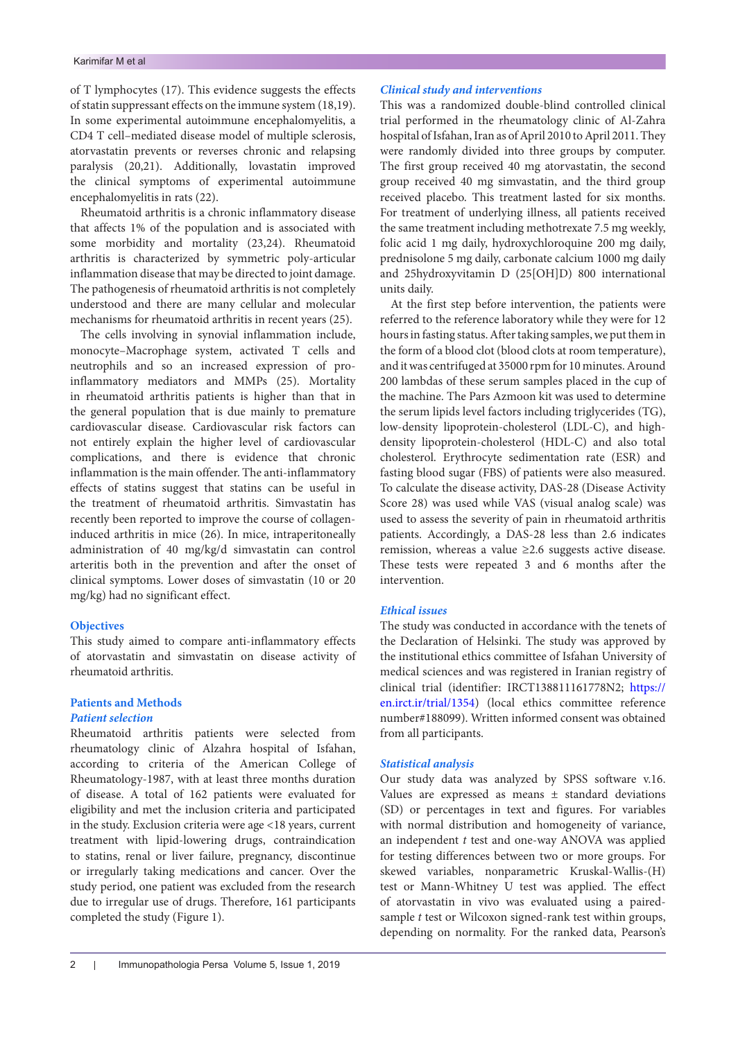of T lymphocytes (17). This evidence suggests the effects of statin suppressant effects on the immune system (18,19). In some experimental autoimmune encephalomyelitis, a CD4 T cell–mediated disease model of multiple sclerosis, atorvastatin prevents or reverses chronic and relapsing paralysis (20,21). Additionally, lovastatin improved the clinical symptoms of experimental autoimmune encephalomyelitis in rats (22).

Rheumatoid arthritis is a chronic inflammatory disease that affects 1% of the population and is associated with some morbidity and mortality (23,24). Rheumatoid arthritis is characterized by symmetric poly-articular inflammation disease that may be directed to joint damage. The pathogenesis of rheumatoid arthritis is not completely understood and there are many cellular and molecular mechanisms for rheumatoid arthritis in recent years (25).

The cells involving in synovial inflammation include, monocyte–Macrophage system, activated T cells and neutrophils and so an increased expression of proinflammatory mediators and MMPs (25). Mortality in rheumatoid arthritis patients is higher than that in the general population that is due mainly to premature cardiovascular disease. Cardiovascular risk factors can not entirely explain the higher level of cardiovascular complications, and there is evidence that chronic inflammation is the main offender. The anti-inflammatory effects of statins suggest that statins can be useful in the treatment of rheumatoid arthritis. Simvastatin has recently been reported to improve the course of collageninduced arthritis in mice (26). In mice, intraperitoneally administration of 40 mg/kg/d simvastatin can control arteritis both in the prevention and after the onset of clinical symptoms. Lower doses of simvastatin (10 or 20 mg/kg) had no significant effect.

# **Objectives**

This study aimed to compare anti-inflammatory effects of atorvastatin and simvastatin on disease activity of rheumatoid arthritis.

# **Patients and Methods**

# *Patient selection*

Rheumatoid arthritis patients were selected from rheumatology clinic of Alzahra hospital of Isfahan, according to criteria of the American College of Rheumatology-1987, with at least three months duration of disease. A total of 162 patients were evaluated for eligibility and met the inclusion criteria and participated in the study. Exclusion criteria were age <18 years, current treatment with lipid-lowering drugs, contraindication to statins, renal or liver failure, pregnancy, discontinue or irregularly taking medications and cancer. Over the study period, one patient was excluded from the research due to irregular use of drugs. Therefore, 161 participants completed the study (Figure 1).

### *Clinical study and interventions*

This was a randomized double-blind controlled clinical trial performed in the rheumatology clinic of Al-Zahra hospital of Isfahan, Iran as of April 2010 to April 2011. They were randomly divided into three groups by computer. The first group received 40 mg atorvastatin, the second group received 40 mg simvastatin, and the third group received placebo. This treatment lasted for six months. For treatment of underlying illness, all patients received the same treatment including methotrexate 7.5 mg weekly, folic acid 1 mg daily, hydroxychloroquine 200 mg daily, prednisolone 5 mg daily, carbonate calcium 1000 mg daily and 25hydroxyvitamin D (25[OH]D) 800 international units daily.

At the first step before intervention, the patients were referred to the reference laboratory while they were for 12 hours in fasting status. After taking samples, we put them in the form of a blood clot (blood clots at room temperature), and it was centrifuged at 35000 rpm for 10 minutes. Around 200 lambdas of these serum samples placed in the cup of the machine. The Pars Azmoon kit was used to determine the serum lipids level factors including triglycerides (TG), low-density lipoprotein-cholesterol (LDL-C), and highdensity lipoprotein-cholesterol (HDL-C) and also total cholesterol. Erythrocyte sedimentation rate (ESR) and fasting blood sugar (FBS) of patients were also measured. To calculate the disease activity, DAS-28 (Disease Activity Score 28) was used while VAS (visual analog scale) was used to assess the severity of pain in rheumatoid arthritis patients. Accordingly, a DAS-28 less than 2.6 indicates remission, whereas a value ≥2.6 suggests active disease. These tests were repeated 3 and 6 months after the intervention.

## *Ethical issues*

The study was conducted in accordance with the tenets of the Declaration of Helsinki. The study was approved by the institutional ethics committee of Isfahan University of medical sciences and was registered in Iranian registry of clinical trial (identifier: IRCT138811161778N2; [https://](https://en.irct.ir/trial/1354) [en.irct.ir/trial/1354](https://en.irct.ir/trial/1354)) (local ethics committee reference number#188099). Written informed consent was obtained from all participants.

## *Statistical analysis*

Our study data was analyzed by SPSS software v.16. Values are expressed as means ± standard deviations (SD) or percentages in text and figures. For variables with normal distribution and homogeneity of variance, an independent *t* test and one-way ANOVA was applied for testing differences between two or more groups. For skewed variables, nonparametric Kruskal-Wallis-(H) test or Mann-Whitney U test was applied. The effect of atorvastatin in vivo was evaluated using a pairedsample *t* test or Wilcoxon signed-rank test within groups, depending on normality. For the ranked data, Pearson's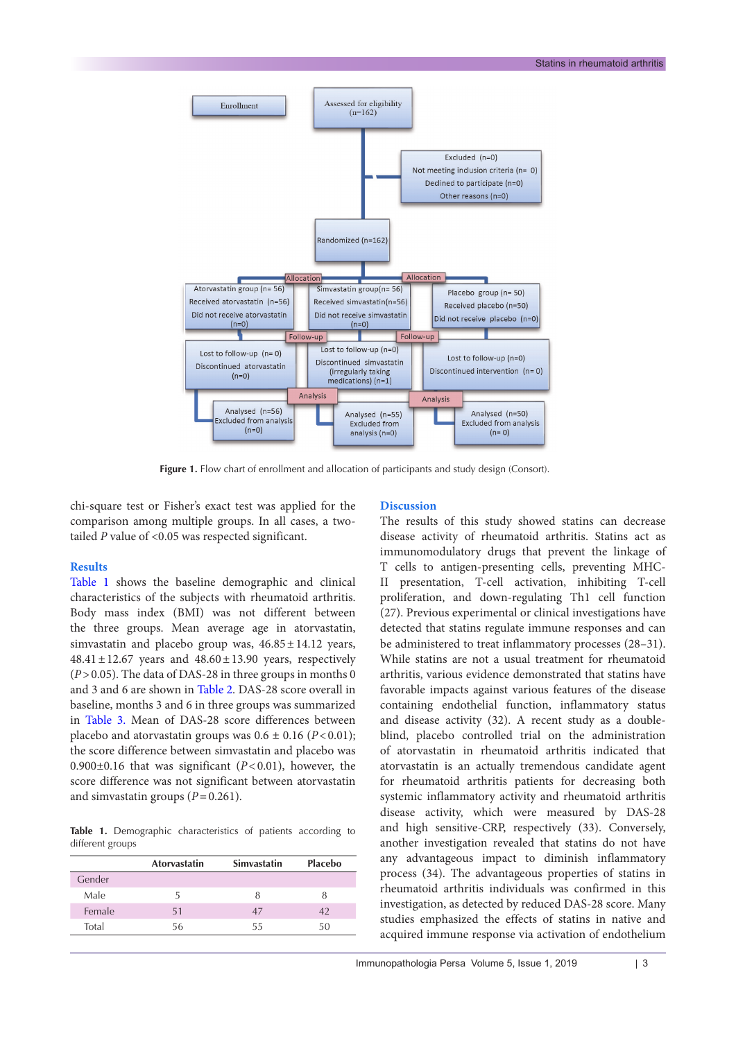

Figure 1. Flow chart of enrollment and allocation of participants and study design (Consort).

chi-square test or Fisher's exact test was applied for the comparison among multiple groups. In all cases, a twotailed *P* value of <0.05 was respected significant.

### **Results**

[Table](#page-2-0) 1 shows the baseline demographic and clinical characteristics of the subjects with rheumatoid arthritis. Body mass index (BMI) was not different between the three groups. Mean average age in atorvastatin, simvastatin and placebo group was,  $46.85 \pm 14.12$  years,  $48.41 \pm 12.67$  years and  $48.60 \pm 13.90$  years, respectively (*P*>0.05). The data of DAS-28 in three groups in months 0 and 3 and 6 are shown in Table 2. DAS-28 score overall in baseline, months 3 and 6 in three groups was summarized in [Table 3.](#page-3-0) Mean of DAS-28 score differences between placebo and atorvastatin groups was  $0.6 \pm 0.16$  ( $P < 0.01$ ); the score difference between simvastatin and placebo was 0.900±0.16 that was significant (*P*<0.01), however, the score difference was not significant between atorvastatin and simvastatin groups  $(P=0.261)$ .

<span id="page-2-0"></span>**Table 1.** Demographic characteristics of patients according to different groups

|        | <b>Atorvastatin</b> | <b>Simvastatin</b> | Placebo |
|--------|---------------------|--------------------|---------|
| Gender |                     |                    |         |
| Male   | 5                   | 8                  | 8       |
| Female | 51                  | 47                 | 42      |
| Total  | 56                  | 55                 | 50      |

## **Discussion**

The results of this study showed statins can decrease disease activity of rheumatoid arthritis. Statins act as immunomodulatory drugs that prevent the linkage of T cells to antigen-presenting cells, preventing MHC-II presentation, T-cell activation, inhibiting T-cell proliferation, and down-regulating Th1 cell function (27). Previous experimental or clinical investigations have detected that statins regulate immune responses and can be administered to treat inflammatory processes (28–31). While statins are not a usual treatment for rheumatoid arthritis, various evidence demonstrated that statins have favorable impacts against various features of the disease containing endothelial function, inflammatory status and disease activity (32). A recent study as a doubleblind, placebo controlled trial on the administration of atorvastatin in rheumatoid arthritis indicated that atorvastatin is an actually tremendous candidate agent for rheumatoid arthritis patients for decreasing both systemic inflammatory activity and rheumatoid arthritis disease activity, which were measured by DAS-28 and high sensitive-CRP, respectively (33). Conversely, another investigation revealed that statins do not have any advantageous impact to diminish inflammatory process (34). The advantageous properties of statins in rheumatoid arthritis individuals was confirmed in this investigation, as detected by reduced DAS-28 score. Many studies emphasized the effects of statins in native and acquired immune response via activation of endothelium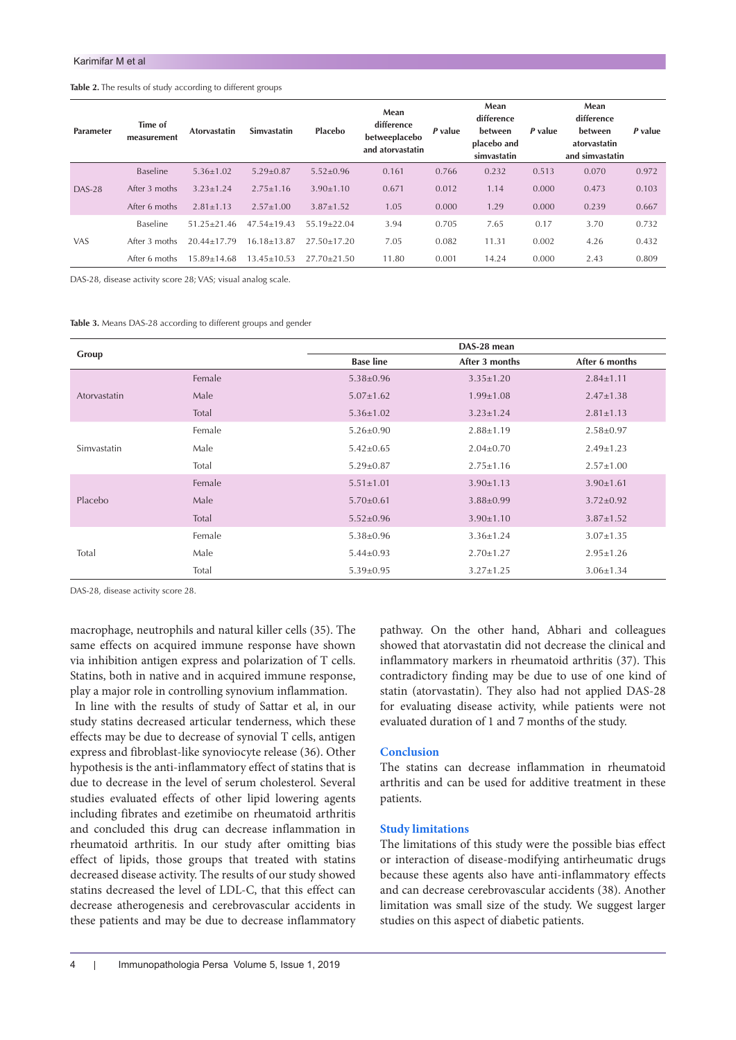## **Table 2.** The results of study according to different groups

| Parameter  | Time of<br>measurement | <b>Atorvastatin</b> | Simvastatin       | <b>Placebo</b>  | Mean<br>difference<br>betweeplacebo<br>and atorvastatin | P value | Mean<br>difference<br><b>between</b><br>placebo and<br>simvastatin | P value | Mean<br>difference<br><b>between</b><br>atorvastatin<br>and simvastatin | P value |
|------------|------------------------|---------------------|-------------------|-----------------|---------------------------------------------------------|---------|--------------------------------------------------------------------|---------|-------------------------------------------------------------------------|---------|
| $DAS-28$   | Baseline               | $5.36 \pm 1.02$     | $5.29 \pm 0.87$   | $5.52 \pm 0.96$ | 0.161                                                   | 0.766   | 0.232                                                              | 0.513   | 0.070                                                                   | 0.972   |
|            | After 3 moths          | $3.23 + 1.24$       | $2.75 + 1.16$     | $3.90 \pm 1.10$ | 0.671                                                   | 0.012   | 1.14                                                               | 0.000   | 0.473                                                                   | 0.103   |
|            | After 6 moths          | $2.81 \pm 1.13$     | $2.57 + 1.00$     | $3.87 \pm 1.52$ | 1.05                                                    | 0.000   | 1.29                                                               | 0.000   | 0.239                                                                   | 0.667   |
| <b>VAS</b> | Baseline               | $51.25 + 21.46$     | $47.54 \pm 19.43$ | $55.19 + 22.04$ | 3.94                                                    | 0.705   | 7.65                                                               | 0.17    | 3.70                                                                    | 0.732   |
|            | After 3 moths          | $20.44 + 17.79$     | $16.18 + 13.87$   | $27.50 + 17.20$ | 7.05                                                    | 0.082   | 11.31                                                              | 0.002   | 4.26                                                                    | 0.432   |
|            | After 6 moths          | 15.89+14.68         | $13.45 \pm 10.53$ | $27.70 + 21.50$ | 11.80                                                   | 0.001   | 14.24                                                              | 0.000   | 2.43                                                                    | 0.809   |

DAS-28, disease activity score 28; VAS; visual analog scale.

<span id="page-3-0"></span>**Table 3.** Means DAS-28 according to different groups and gender

|              |        |                  | DAS-28 mean     |                 |  |  |
|--------------|--------|------------------|-----------------|-----------------|--|--|
| Group        |        | <b>Base line</b> | After 3 months  | After 6 months  |  |  |
|              | Female | $5.38 \pm 0.96$  | $3.35 \pm 1.20$ | $2.84 \pm 1.11$ |  |  |
| Atorvastatin | Male   | $5.07 \pm 1.62$  | $1.99 \pm 1.08$ | $2.47 \pm 1.38$ |  |  |
|              | Total  | $5.36 \pm 1.02$  | $3.23 \pm 1.24$ | $2.81 \pm 1.13$ |  |  |
| Simvastatin  | Female | $5.26 \pm 0.90$  | $2.88 \pm 1.19$ | $2.58 \pm 0.97$ |  |  |
|              | Male   | $5.42 \pm 0.65$  | $2.04 \pm 0.70$ | $2.49 \pm 1.23$ |  |  |
|              | Total  | $5.29 \pm 0.87$  | $2.75 \pm 1.16$ | $2.57 \pm 1.00$ |  |  |
| Placebo      | Female | $5.51 \pm 1.01$  | $3.90 \pm 1.13$ | $3.90 \pm 1.61$ |  |  |
|              | Male   | $5.70 \pm 0.61$  | $3.88 \pm 0.99$ | $3.72 \pm 0.92$ |  |  |
|              | Total  | $5.52 \pm 0.96$  | $3.90 \pm 1.10$ | $3.87 \pm 1.52$ |  |  |
| Total        | Female | $5.38 \pm 0.96$  | $3.36 \pm 1.24$ | $3.07 \pm 1.35$ |  |  |
|              | Male   | $5.44 \pm 0.93$  | $2.70 \pm 1.27$ | $2.95 \pm 1.26$ |  |  |
|              | Total  | $5.39 \pm 0.95$  | $3.27 \pm 1.25$ | $3.06 \pm 1.34$ |  |  |

DAS-28, disease activity score 28.

macrophage, neutrophils and natural killer cells (35). The same effects on acquired immune response have shown via inhibition antigen express and polarization of T cells. Statins, both in native and in acquired immune response, play a major role in controlling synovium inflammation.

 In line with the results of study of Sattar et al, in our study statins decreased articular tenderness, which these effects may be due to decrease of synovial T cells, antigen express and fibroblast-like synoviocyte release (36). Other hypothesis is the anti-inflammatory effect of statins that is due to decrease in the level of serum cholesterol. Several studies evaluated effects of other lipid lowering agents including fibrates and ezetimibe on rheumatoid arthritis and concluded this drug can decrease inflammation in rheumatoid arthritis. In our study after omitting bias effect of lipids, those groups that treated with statins decreased disease activity. The results of our study showed statins decreased the level of LDL-C, that this effect can decrease atherogenesis and cerebrovascular accidents in these patients and may be due to decrease inflammatory pathway. On the other hand, Abhari and colleagues showed that atorvastatin did not decrease the clinical and inflammatory markers in rheumatoid arthritis (37). This contradictory finding may be due to use of one kind of statin (atorvastatin). They also had not applied DAS-28 for evaluating disease activity, while patients were not evaluated duration of 1 and 7 months of the study.

# **Conclusion**

The statins can decrease inflammation in rheumatoid arthritis and can be used for additive treatment in these patients.

## **Study limitations**

The limitations of this study were the possible bias effect or interaction of disease-modifying antirheumatic drugs because these agents also have anti-inflammatory effects and can decrease cerebrovascular accidents (38). Another limitation was small size of the study. We suggest larger studies on this aspect of diabetic patients.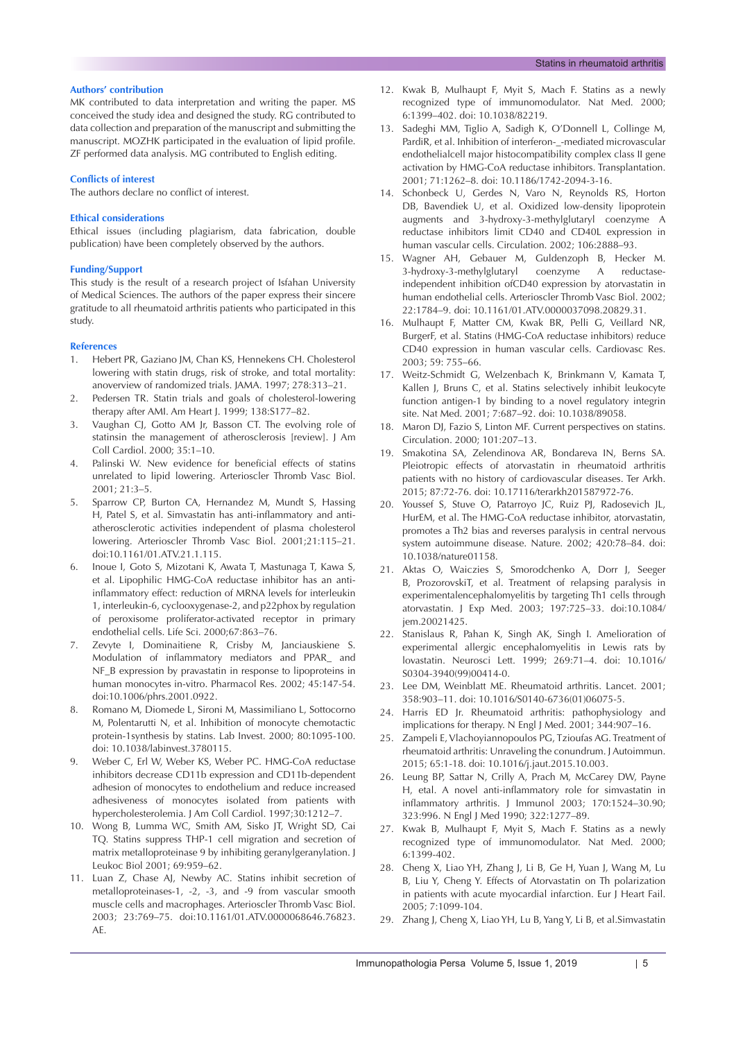### **Authors' contribution**

MK contributed to data interpretation and writing the paper. MS conceived the study idea and designed the study. RG contributed to data collection and preparation of the manuscript and submitting the manuscript. MOZHK participated in the evaluation of lipid profile. ZF performed data analysis. MG contributed to English editing.

#### **Conflicts of interest**

The authors declare no conflict of interest.

#### **Ethical considerations**

Ethical issues (including plagiarism, data fabrication, double publication) have been completely observed by the authors.

#### **Funding/Support**

This study is the result of a research project of Isfahan University of Medical Sciences. The authors of the paper express their sincere gratitude to all rheumatoid arthritis patients who participated in this study.

#### **References**

- 1. Hebert PR, Gaziano JM, Chan KS, Hennekens CH. Cholesterol lowering with statin drugs, risk of stroke, and total mortality: anoverview of randomized trials. JAMA. 1997; 278:313–21.
- 2. Pedersen TR. Statin trials and goals of cholesterol-lowering therapy after AMI. Am Heart J. 1999; 138:S177–82.
- 3. Vaughan CJ, Gotto AM Jr, Basson CT. The evolving role of statinsin the management of atherosclerosis [review]. J Am Coll Cardiol. 2000; 35:1–10.
- 4. Palinski W. New evidence for beneficial effects of statins unrelated to lipid lowering. Arterioscler Thromb Vasc Biol. 2001; 21:3–5.
- Sparrow CP, Burton CA, Hernandez M, Mundt S, Hassing H, Patel S, et al. Simvastatin has anti-inflammatory and antiatherosclerotic activities independent of plasma cholesterol lowering. Arterioscler Thromb Vasc Biol. 2001;21:115–21. doi:10.1161/01.ATV.21.1.115.
- 6. Inoue I, Goto S, Mizotani K, Awata T, Mastunaga T, Kawa S, et al. Lipophilic HMG-CoA reductase inhibitor has an antiinflammatory effect: reduction of MRNA levels for interleukin 1, interleukin-6, cyclooxygenase-2, and p22phox by regulation of peroxisome proliferator-activated receptor in primary endothelial cells. Life Sci. 2000;67:863–76.
- 7. Zevyte I, Dominaitiene R, Crisby M, Janciauskiene S. Modulation of inflammatory mediators and PPAR\_ and NF\_B expression by pravastatin in response to lipoproteins in human monocytes in-vitro. Pharmacol Res. 2002; 45:147-54. doi:10.1006/phrs.2001.0922.
- 8. Romano M, Diomede L, Sironi M, Massimiliano L, Sottocorno M, Polentarutti N, et al. Inhibition of monocyte chemotactic protein-1synthesis by statins. Lab Invest. 2000; 80:1095-100. doi: 10.1038/labinvest.3780115.
- 9. Weber C, Erl W, Weber KS, Weber PC. HMG-CoA reductase inhibitors decrease CD11b expression and CD11b-dependent adhesion of monocytes to endothelium and reduce increased adhesiveness of monocytes isolated from patients with hypercholesterolemia. J Am Coll Cardiol. 1997;30:1212–7.
- 10. Wong B, Lumma WC, Smith AM, Sisko JT, Wright SD, Cai TQ. Statins suppress THP-1 cell migration and secretion of matrix metalloproteinase 9 by inhibiting geranylgeranylation. J Leukoc Biol 2001; 69:959–62.
- 11. Luan Z, Chase AJ, Newby AC. Statins inhibit secretion of metalloproteinases-1, -2, -3, and -9 from vascular smooth muscle cells and macrophages. Arterioscler Thromb Vasc Biol. 2003; 23:769–75. doi:10.1161/01.ATV.0000068646.76823. AE.
- 12. Kwak B, Mulhaupt F, Myit S, Mach F. Statins as a newly recognized type of immunomodulator. Nat Med. 2000; 6:1399–402. doi: 10.1038/82219.
- 13. Sadeghi MM, Tiglio A, Sadigh K, O'Donnell L, Collinge M, PardiR, et al. Inhibition of interferon-\_-mediated microvascular endothelialcell major histocompatibility complex class II gene activation by HMG-CoA reductase inhibitors. Transplantation. 2001; 71:1262–8. doi: 10.1186/1742-2094-3-16.
- 14. Schonbeck U, Gerdes N, Varo N, Reynolds RS, Horton DB, Bavendiek U, et al. Oxidized low-density lipoprotein augments and 3-hydroxy-3-methylglutaryl coenzyme A reductase inhibitors limit CD40 and CD40L expression in human vascular cells. Circulation. 2002; 106:2888–93.
- 15. Wagner AH, Gebauer M, Guldenzoph B, Hecker M. 3-hydroxy-3-methylglutaryl coenzyme A reductaseindependent inhibition ofCD40 expression by atorvastatin in human endothelial cells. Arterioscler Thromb Vasc Biol. 2002; 22:1784–9. doi: 10.1161/01.ATV.0000037098.20829.31.
- 16. Mulhaupt F, Matter CM, Kwak BR, Pelli G, Veillard NR, BurgerF, et al. Statins (HMG-CoA reductase inhibitors) reduce CD40 expression in human vascular cells. Cardiovasc Res. 2003; 59: 755–66.
- 17. Weitz-Schmidt G, Welzenbach K, Brinkmann V, Kamata T, Kallen J, Bruns C, et al. Statins selectively inhibit leukocyte function antigen-1 by binding to a novel regulatory integrin site. Nat Med. 2001; 7:687–92. doi: 10.1038/89058.
- 18. Maron DJ, Fazio S, Linton MF. Current perspectives on statins. Circulation. 2000; 101:207–13.
- 19. Smakotina SA, Zelendinova AR, Bondareva IN, Berns SA. Pleiotropic effects of atorvastatin in rheumatoid arthritis patients with no history of cardiovascular diseases. Ter Arkh. 2015; 87:72-76. doi: 10.17116/terarkh201587972-76.
- 20. Youssef S, Stuve O, Patarroyo JC, Ruiz PJ, Radosevich JL, HurEM, et al. The HMG-CoA reductase inhibitor, atorvastatin, promotes a Th2 bias and reverses paralysis in central nervous system autoimmune disease. Nature. 2002; 420:78–84. doi: 10.1038/nature01158.
- 21. Aktas O, Waiczies S, Smorodchenko A, Dorr J, Seeger B, ProzorovskiT, et al. Treatment of relapsing paralysis in experimentalencephalomyelitis by targeting Th1 cells through atorvastatin. J Exp Med. 2003; 197:725–33. doi:10.1084/ jem.20021425.
- 22. Stanislaus R, Pahan K, Singh AK, Singh I. Amelioration of experimental allergic encephalomyelitis in Lewis rats by lovastatin. Neurosci Lett. 1999; 269:71–4. doi: 10.1016/ S0304-3940(99)00414-0.
- 23. Lee DM, Weinblatt ME. Rheumatoid arthritis. Lancet. 2001; 358:903–11. doi: 10.1016/S0140-6736(01)06075-5.
- 24. Harris ED Jr. Rheumatoid arthritis: pathophysiology and implications for therapy. N Engl J Med. 2001; 344:907–16.
- 25. Zampeli E, Vlachoyiannopoulos PG, Tzioufas AG. Treatment of rheumatoid arthritis: Unraveling the conundrum. J Autoimmun. 2015; 65:1-18. doi: 10.1016/j.jaut.2015.10.003.
- 26. Leung BP, Sattar N, Crilly A, Prach M, McCarey DW, Payne H, etal. A novel anti-inflammatory role for simvastatin in inflammatory arthritis. J Immunol 2003; 170:1524–30.90; 323:996. N Engl J Med 1990; 322:1277–89.
- 27. Kwak B, Mulhaupt F, Myit S, Mach F. Statins as a newly recognized type of immunomodulator. Nat Med. 2000; 6:1399-402.
- 28. Cheng X, Liao YH, Zhang J, Li B, Ge H, Yuan J, Wang M, Lu B, Liu Y, Cheng Y. Effects of Atorvastatin on Th polarization in patients with acute myocardial infarction. Eur J Heart Fail. 2005; 7:1099-104.
- 29. Zhang J, Cheng X, Liao YH, Lu B, Yang Y, Li B, et al.Simvastatin